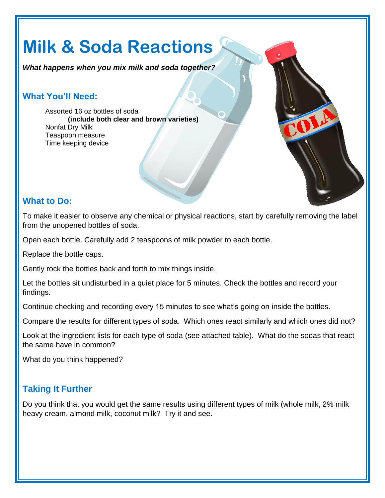# **Milk & Soda Reactions**

*What happens when you mix milk and soda together?*

### **What You'll Need:**

Assorted 16 oz bottles of soda **(include both clear and brown varieties)** Nonfat Dry Milk Teaspoon measure Time keeping device

#### **What to Do:**

To make it easier to observe any chemical or physical reactions, start by carefully removing the label from the unopened bottles of soda.

Open each bottle. Carefully add 2 teaspoons of milk powder to each bottle.

Replace the bottle caps.

Gently rock the bottles back and forth to mix things inside.

Let the bottles sit undisturbed in a quiet place for 5 minutes. Check the bottles and record your findings.

Continue checking and recording every 15 minutes to see what's going on inside the bottles.

Compare the results for different types of soda. Which ones react similarly and which ones did not?

Look at the ingredient lists for each type of soda (see attached table). What do the sodas that react the same have in common?

What do you think happened?

#### **Taking It Further**

Do you think that you would get the same results using different types of milk (whole milk, 2% milk heavy cream, almond milk, coconut milk? Try it and see.